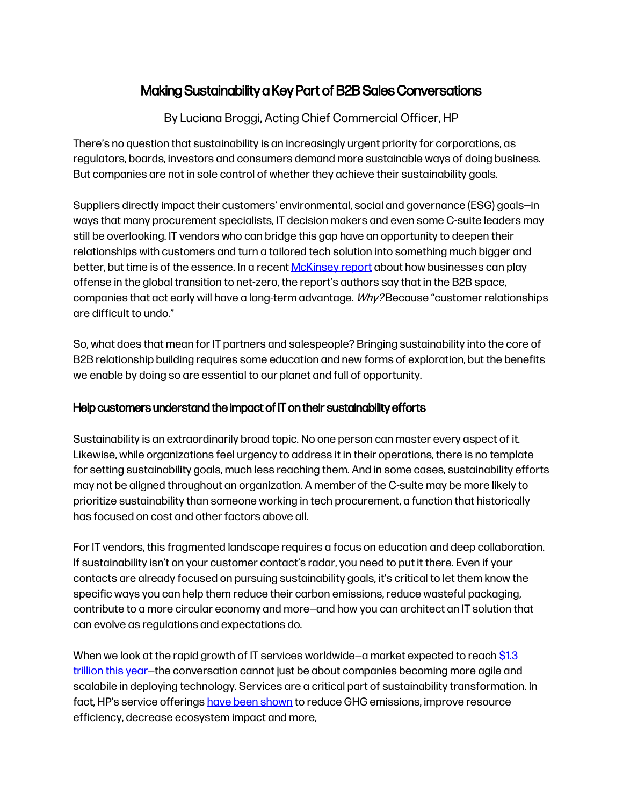## Making Sustainability a Key Part of B2B Sales Conversations

By Luciana Broggi, Acting Chief Commercial Officer, HP

There's no question that sustainability is an increasingly urgent priority for corporations, as regulators, boards, investors and consumers demand more sustainable ways of doing business. But companies are not in sole control of whether they achieve their sustainability goals.

Suppliers directly impact their customers' environmental, social and governance (ESG) goals—in ways that many procurement specialists, IT decision makers and even some C-suite leaders may still be overlooking. IT vendors who can bridge this gap have an opportunity to deepen their relationships with customers and turn a tailored tech solution into something much bigger and better, but time is of the essence. In a recent [McKinsey report](https://nam12.safelinks.protection.outlook.com/?url=https%3A%2F%2Fwww.mckinsey.com%2Fbusiness-functions%2Fsustainability%2Four-insights%2Fplaying-offense-to-create-value-in-the-net-zero-transition&data=05%7C01%7Cmegan.madden%40edelman.com%7C21a2de02a0334a11fe0e08da2315f12e%7Cb824bfb3918e43c2bb1cdcc1ba40a82b%7C0%7C0%7C637860874390596404%7CUnknown%7CTWFpbGZsb3d8eyJWIjoiMC4wLjAwMDAiLCJQIjoiV2luMzIiLCJBTiI6Ik1haWwiLCJXVCI6Mn0%3D%7C3000%7C%7C%7C&sdata=JiybSH5jzjDJjsuSGgC%2F4f%2FdIGhomWGTBJ%2F6iJlmdTk%3D&reserved=0) about how businesses can play offense in the global transition to net-zero, the report's authors say that in the B2B space, companies that act early will have a long-term advantage.  $W\hbar\nu$ ? Because "customer relationships are difficult to undo."

So, what does that mean for IT partners and salespeople? Bringing sustainability into the core of B2B relationship building requires some education and new forms of exploration, but the benefits we enable by doing so are essential to our planet and full of opportunity.

## Help customers understand the impact of IT on their sustainability efforts

Sustainability is an extraordinarily broad topic. No one person can master every aspect of it. Likewise, while organizations feel urgency to address it in their operations, there is no template for setting sustainability goals, much less reaching them. And in some cases, sustainability efforts may not be aligned throughout an organization. A member of the C-suite may be more likely to prioritize sustainability than someone working in tech procurement, a function that historically has focused on cost and other factors above all.

For IT vendors, this fragmented landscape requires a focus on education and deep collaboration. If sustainability isn't on your customer contact's radar, you need to put it there. Even if your contacts are already focused on pursuing sustainability goals, it's critical to let them know the specific ways you can help them reduce their carbon emissions, reduce wasteful packaging, contribute to a more circular economy and more—and how you can architect an IT solution that can evolve as regulations and expectations do.

When we look at the rapid growth of IT services worldwide-a market expected to reac[h \\$1.3](https://www.techtarget.com/searchitchannel/news/252512323/Gartner-Global-IT-services-market-to-grow-79) trillion [this year](https://www.techtarget.com/searchitchannel/news/252512323/Gartner-Global-IT-services-market-to-grow-79)—the conversation cannot just be about companies becoming more agile and scalabile in deploying technology. Services are a critical part of sustainability transformation. In fact, HP's service offering[s have been shown](https://www.hp.com/us-en/hp-information/sustainable-impact.html) to reduce GHG emissions, improve resource efficiency, decrease ecosystem impact and more,